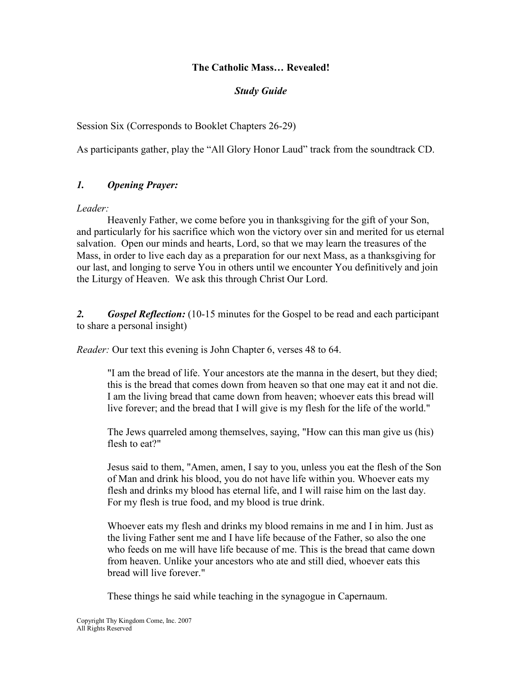### The Catholic Mass… Revealed!

### Study Guide

Session Six (Corresponds to Booklet Chapters 26-29)

As participants gather, play the "All Glory Honor Laud" track from the soundtrack CD.

## 1. Opening Prayer:

Leader:

Heavenly Father, we come before you in thanksgiving for the gift of your Son, and particularly for his sacrifice which won the victory over sin and merited for us eternal salvation. Open our minds and hearts, Lord, so that we may learn the treasures of the Mass, in order to live each day as a preparation for our next Mass, as a thanksgiving for our last, and longing to serve You in others until we encounter You definitively and join the Liturgy of Heaven. We ask this through Christ Our Lord.

2. Gospel Reflection: (10-15 minutes for the Gospel to be read and each participant to share a personal insight)

Reader: Our text this evening is John Chapter 6, verses 48 to 64.

"I am the bread of life. Your ancestors ate the manna in the desert, but they died; this is the bread that comes down from heaven so that one may eat it and not die. I am the living bread that came down from heaven; whoever eats this bread will live forever; and the bread that I will give is my flesh for the life of the world."

The Jews quarreled among themselves, saying, "How can this man give us (his) flesh to eat?"

Jesus said to them, "Amen, amen, I say to you, unless you eat the flesh of the Son of Man and drink his blood, you do not have life within you. Whoever eats my flesh and drinks my blood has eternal life, and I will raise him on the last day. For my flesh is true food, and my blood is true drink.

Whoever eats my flesh and drinks my blood remains in me and I in him. Just as the living Father sent me and I have life because of the Father, so also the one who feeds on me will have life because of me. This is the bread that came down from heaven. Unlike your ancestors who ate and still died, whoever eats this bread will live forever."

These things he said while teaching in the synagogue in Capernaum.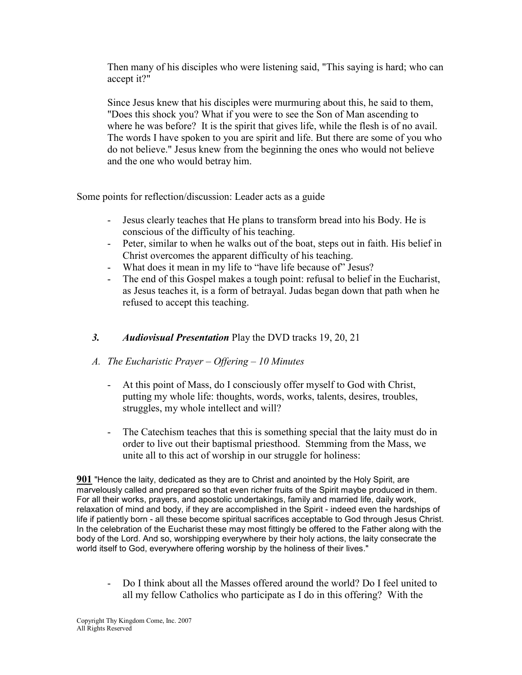Then many of his disciples who were listening said, "This saying is hard; who can accept it?"

Since Jesus knew that his disciples were murmuring about this, he said to them, "Does this shock you? What if you were to see the Son of Man ascending to where he was before? It is the spirit that gives life, while the flesh is of no avail. The words I have spoken to you are spirit and life. But there are some of you who do not believe." Jesus knew from the beginning the ones who would not believe and the one who would betray him.

Some points for reflection/discussion: Leader acts as a guide

- Jesus clearly teaches that He plans to transform bread into his Body. He is conscious of the difficulty of his teaching.
- Peter, similar to when he walks out of the boat, steps out in faith. His belief in Christ overcomes the apparent difficulty of his teaching.
- What does it mean in my life to "have life because of" Jesus?
- The end of this Gospel makes a tough point: refusal to belief in the Eucharist, as Jesus teaches it, is a form of betrayal. Judas began down that path when he refused to accept this teaching.

# 3. Audiovisual Presentation Play the DVD tracks 19, 20, 21

# A. The Eucharistic Prayer – Offering – 10 Minutes

- At this point of Mass, do I consciously offer myself to God with Christ, putting my whole life: thoughts, words, works, talents, desires, troubles, struggles, my whole intellect and will?
- The Catechism teaches that this is something special that the laity must do in order to live out their baptismal priesthood. Stemming from the Mass, we unite all to this act of worship in our struggle for holiness:

901 "Hence the laity, dedicated as they are to Christ and anointed by the Holy Spirit, are marvelously called and prepared so that even richer fruits of the Spirit maybe produced in them. For all their works, prayers, and apostolic undertakings, family and married life, daily work, relaxation of mind and body, if they are accomplished in the Spirit - indeed even the hardships of life if patiently born - all these become spiritual sacrifices acceptable to God through Jesus Christ. In the celebration of the Eucharist these may most fittingly be offered to the Father along with the body of the Lord. And so, worshipping everywhere by their holy actions, the laity consecrate the world itself to God, everywhere offering worship by the holiness of their lives."

- Do I think about all the Masses offered around the world? Do I feel united to all my fellow Catholics who participate as I do in this offering? With the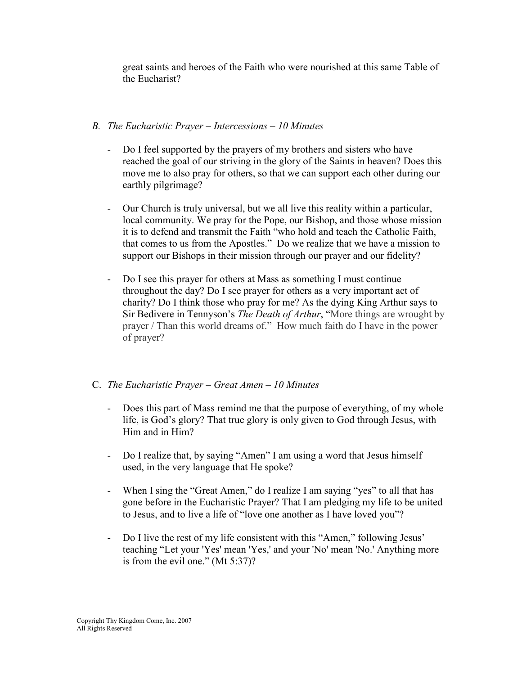great saints and heroes of the Faith who were nourished at this same Table of the Eucharist?

## B. The Eucharistic Prayer – Intercessions – 10 Minutes

- Do I feel supported by the prayers of my brothers and sisters who have reached the goal of our striving in the glory of the Saints in heaven? Does this move me to also pray for others, so that we can support each other during our earthly pilgrimage?
- Our Church is truly universal, but we all live this reality within a particular, local community. We pray for the Pope, our Bishop, and those whose mission it is to defend and transmit the Faith "who hold and teach the Catholic Faith, that comes to us from the Apostles." Do we realize that we have a mission to support our Bishops in their mission through our prayer and our fidelity?
- Do I see this prayer for others at Mass as something I must continue throughout the day? Do I see prayer for others as a very important act of charity? Do I think those who pray for me? As the dying King Arthur says to Sir Bedivere in Tennyson's The Death of Arthur, "More things are wrought by prayer / Than this world dreams of." How much faith do I have in the power of prayer?

# C. The Eucharistic Prayer – Great Amen – 10 Minutes

- Does this part of Mass remind me that the purpose of everything, of my whole life, is God's glory? That true glory is only given to God through Jesus, with Him and in Him?
- Do I realize that, by saying "Amen" I am using a word that Jesus himself used, in the very language that He spoke?
- When I sing the "Great Amen," do I realize I am saying "yes" to all that has gone before in the Eucharistic Prayer? That I am pledging my life to be united to Jesus, and to live a life of "love one another as I have loved you"?
- Do I live the rest of my life consistent with this "Amen," following Jesus" teaching "Let your 'Yes' mean 'Yes,' and your 'No' mean 'No.' Anything more is from the evil one." (Mt 5:37)?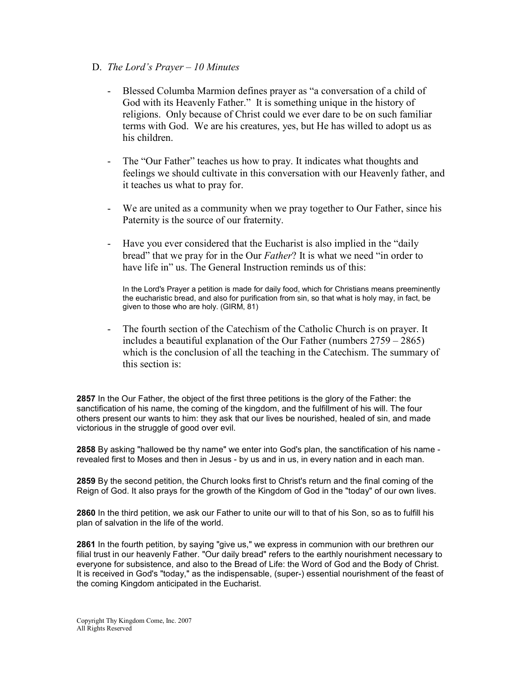- D. The Lord's Prayer  $-10$  Minutes
	- Blessed Columba Marmion defines prayer as "a conversation of a child of God with its Heavenly Father." It is something unique in the history of religions. Only because of Christ could we ever dare to be on such familiar terms with God. We are his creatures, yes, but He has willed to adopt us as his children.
	- The "Our Father" teaches us how to pray. It indicates what thoughts and feelings we should cultivate in this conversation with our Heavenly father, and it teaches us what to pray for.
	- We are united as a community when we pray together to Our Father, since his Paternity is the source of our fraternity.
	- Have you ever considered that the Eucharist is also implied in the "daily bread" that we pray for in the Our Father? It is what we need "in order to have life in" us. The General Instruction reminds us of this:

In the Lord's Prayer a petition is made for daily food, which for Christians means preeminently the eucharistic bread, and also for purification from sin, so that what is holy may, in fact, be given to those who are holy. (GIRM, 81)

- The fourth section of the Catechism of the Catholic Church is on prayer. It includes a beautiful explanation of the Our Father (numbers 2759 – 2865) which is the conclusion of all the teaching in the Catechism. The summary of this section is:

2857 In the Our Father, the object of the first three petitions is the glory of the Father: the sanctification of his name, the coming of the kingdom, and the fulfillment of his will. The four others present our wants to him: they ask that our lives be nourished, healed of sin, and made victorious in the struggle of good over evil.

2858 By asking "hallowed be thy name" we enter into God's plan, the sanctification of his name revealed first to Moses and then in Jesus - by us and in us, in every nation and in each man.

2859 By the second petition, the Church looks first to Christ's return and the final coming of the Reign of God. It also prays for the growth of the Kingdom of God in the "today" of our own lives.

2860 In the third petition, we ask our Father to unite our will to that of his Son, so as to fulfill his plan of salvation in the life of the world.

2861 In the fourth petition, by saying "give us," we express in communion with our brethren our filial trust in our heavenly Father. "Our daily bread" refers to the earthly nourishment necessary to everyone for subsistence, and also to the Bread of Life: the Word of God and the Body of Christ. It is received in God's "today," as the indispensable, (super-) essential nourishment of the feast of the coming Kingdom anticipated in the Eucharist.